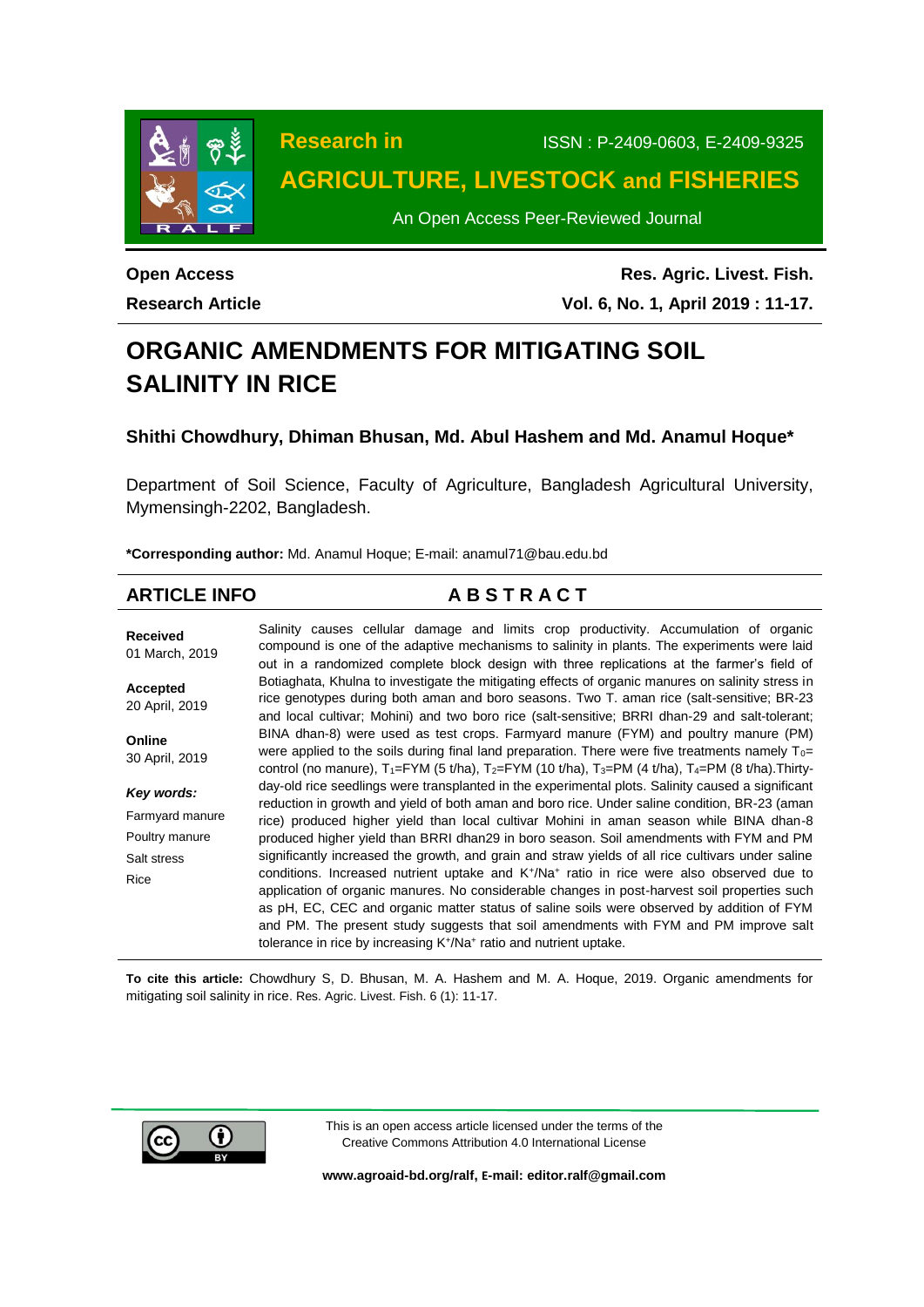

**Research in** ISSN : P-2409-0603, E-2409-9325 **AGRICULTURE, LIVESTOCK and FISHERIES**

An Open Access Peer-Reviewed Journal

**Open Access Research Article**

**Res. Agric. Livest. Fish. Vol. 6, No. 1, April 2019 : 11-17.**

# **ORGANIC AMENDMENTS FOR MITIGATING SOIL SALINITY IN RICE**

**Shithi Chowdhury, Dhiman Bhusan, Md. Abul Hashem and Md. Anamul Hoque\***

Department of Soil Science, Faculty of Agriculture, Bangladesh Agricultural University, Mymensingh-2202, Bangladesh.

**\*Corresponding author:** Md. Anamul Hoque; E-mail: [anamul71@bau.edu.bd](mailto:anamul71@bau.edu.bd)

### **ARTICLE INFO A B S T R A C T Received** 01 March, 2019 **Accepted** 20 April, 2019 **Online** 30 April, 2019 *Key words:* Farmyard manure Poultry manure Salt stress Rice Salinity causes cellular damage and limits crop productivity. Accumulation of organic compound is one of the adaptive mechanisms to salinity in plants. The experiments were laid out in a randomized complete block design with three replications at the farmer's field of Botiaghata, Khulna to investigate the mitigating effects of organic manures on salinity stress in rice genotypes during both aman and boro seasons. Two T. aman rice (salt-sensitive; BR-23 and local cultivar; Mohini) and two boro rice (salt-sensitive; BRRI dhan-29 and salt-tolerant; BINA dhan-8) were used as test crops. Farmyard manure (FYM) and poultry manure (PM) were applied to the soils during final land preparation. There were five treatments namely  $T_0=$ control (no manure),  $T_1 = FYM$  (5 t/ha),  $T_2 = FYM$  (10 t/ha),  $T_3 = PM$  (4 t/ha),  $T_4 = PM$  (8 t/ha). Thirtyday-old rice seedlings were transplanted in the experimental plots. Salinity caused a significant reduction in growth and yield of both aman and boro rice. Under saline condition, BR-23 (aman rice) produced higher yield than local cultivar Mohini in aman season while BINA dhan-8 produced higher yield than BRRI dhan29 in boro season. Soil amendments with FYM and PM significantly increased the growth, and grain and straw yields of all rice cultivars under saline conditions. Increased nutrient uptake and K<sup>+</sup>/Na<sup>+</sup> ratio in rice were also observed due to application of organic manures. No considerable changes in post-harvest soil properties such as pH, EC, CEC and organic matter status of saline soils were observed by addition of FYM and PM. The present study suggests that soil amendments with FYM and PM improve salt tolerance in rice by increasing K<sup>+</sup>/Na<sup>+</sup> ratio and nutrient uptake.

**To cite this article:** Chowdhury S, D. Bhusan, M. A. Hashem and M. A. Hoque, 2019. Organic amendments for mitigating soil salinity in rice. Res. Agric. Livest. Fish. 6 (1): 11-17.



This is an open access article licensed under the terms of the Creative Commons Attribution 4.0 International License

**[www.agroaid-bd.org/ralf,](http://www.agroaid-bd.org/ralf) E-mail[: editor.ralf@gmail.com](mailto:editor.ralf@gmail.com)**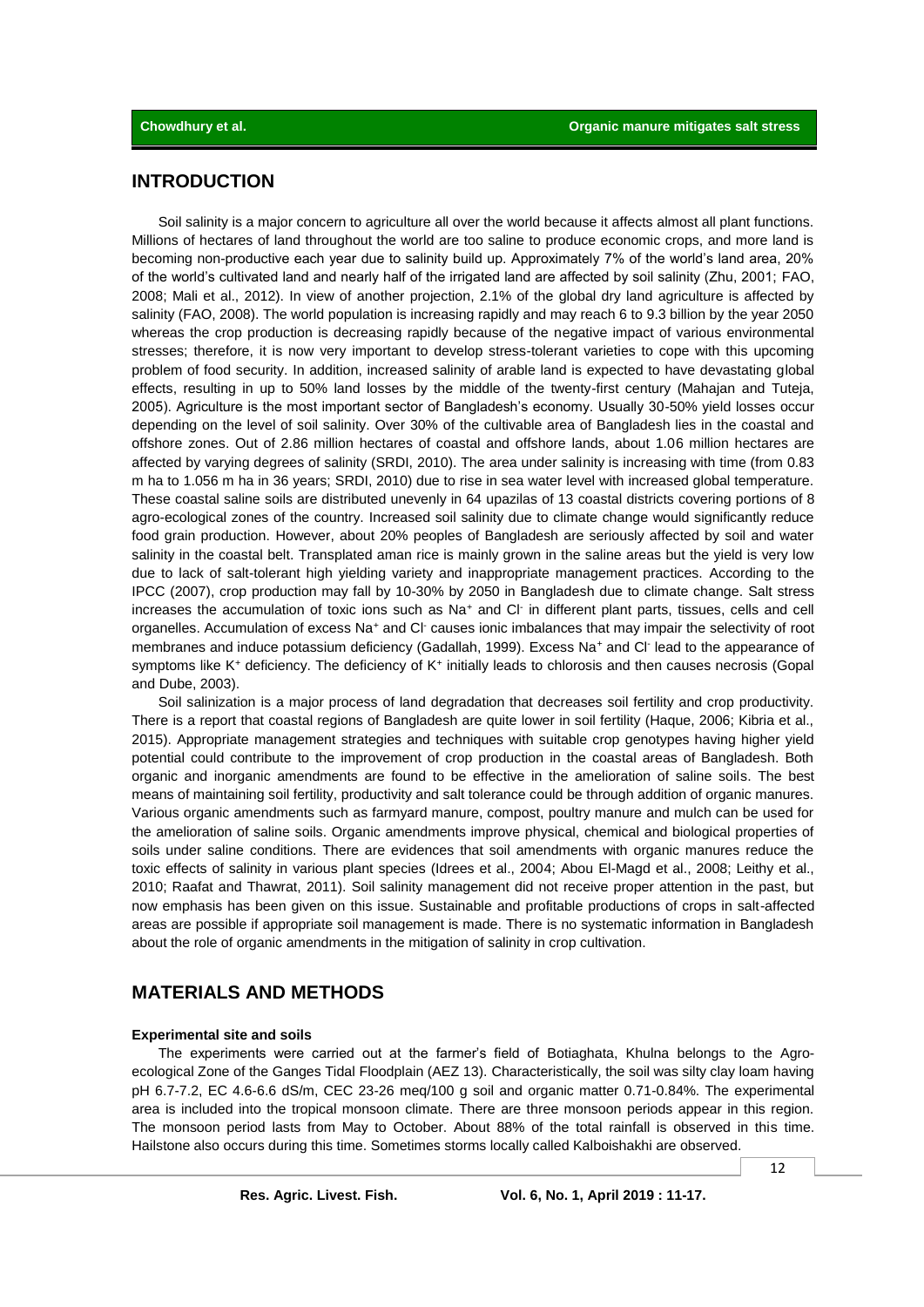# **INTRODUCTION**

Soil salinity is a major concern to agriculture all over the world because it affects almost all plant functions. Millions of hectares of land throughout the world are too saline to produce economic crops, and more land is becoming non-productive each year due to salinity build up. Approximately 7% of the world's land area, 20% of the world's cultivated land and nearly half of the irrigated land are affected by soil salinity (Zhu, 2001; FAO, 2008; Mali et al., 2012). In view of another projection, 2.1% of the global dry land agriculture is affected by salinity (FAO, 2008). The world population is increasing rapidly and may reach 6 to 9.3 billion by the year 2050 whereas the crop production is decreasing rapidly because of the negative impact of various environmental stresses; therefore, it is now very important to develop stress-tolerant varieties to cope with this upcoming problem of food security. In addition, increased salinity of arable land is expected to have devastating global effects, resulting in up to 50% land losses by the middle of the twenty-first century (Mahajan and Tuteja, 2005). Agriculture is the most important sector of Bangladesh's economy. Usually 30-50% yield losses occur depending on the level of soil salinity. Over 30% of the cultivable area of Bangladesh lies in the coastal and offshore zones. Out of 2.86 million hectares of coastal and offshore lands, about 1.06 million hectares are affected by varying degrees of salinity (SRDI, 2010). The area under salinity is increasing with time (from 0.83 m ha to 1.056 m ha in 36 years; SRDI, 2010) due to rise in sea water level with increased global temperature. These coastal saline soils are distributed unevenly in 64 upazilas of 13 coastal districts covering portions of 8 agro-ecological zones of the country. Increased soil salinity due to climate change would significantly reduce food grain production. However, about 20% peoples of Bangladesh are seriously affected by soil and water salinity in the coastal belt. Transplated aman rice is mainly grown in the saline areas but the yield is very low due to lack of salt-tolerant high yielding variety and inappropriate management practices. According to the IPCC (2007), crop production may fall by 10-30% by 2050 in Bangladesh due to climate change. Salt stress increases the accumulation of toxic ions such as Na<sup>+</sup> and Cl<sup>-</sup> in different plant parts, tissues, cells and cell organelles. Accumulation of excess Na<sup>+</sup> and Cl<sup>-</sup> causes ionic imbalances that may impair the selectivity of root membranes and induce potassium deficiency (Gadallah, 1999). Excess Na<sup>+</sup> and Cl<sup>-</sup> lead to the appearance of symptoms like K<sup>+</sup> deficiency. The deficiency of K<sup>+</sup> initially leads to chlorosis and then causes necrosis (Gopal and Dube, 2003).

Soil salinization is a major process of land degradation that decreases soil fertility and crop productivity. There is a report that coastal regions of Bangladesh are quite lower in soil fertility (Haque, 2006; Kibria et al., 2015). Appropriate management strategies and techniques with suitable crop genotypes having higher yield potential could contribute to the improvement of crop production in the coastal areas of Bangladesh. Both organic and inorganic amendments are found to be effective in the amelioration of saline soils. The best means of maintaining soil fertility, productivity and salt tolerance could be through addition of organic manures. Various organic amendments such as farmyard manure, compost, poultry manure and mulch can be used for the amelioration of saline soils. Organic amendments improve physical, chemical and biological properties of soils under saline conditions. There are evidences that soil amendments with organic manures reduce the toxic effects of salinity in various plant species (Idrees et al., 2004; Abou El-Magd et al., 2008; Leithy et al., 2010; Raafat and Thawrat, 2011). Soil salinity management did not receive proper attention in the past, but now emphasis has been given on this issue. Sustainable and profitable productions of crops in salt-affected areas are possible if appropriate soil management is made. There is no systematic information in Bangladesh about the role of organic amendments in the mitigation of salinity in crop cultivation.

# **MATERIALS AND METHODS**

### **Experimental site and soils**

The experiments were carried out at the farmer's field of Botiaghata, Khulna belongs to the Agroecological Zone of the Ganges Tidal Floodplain (AEZ 13). Characteristically, the soil was silty clay loam having pH 6.7-7.2, EC 4.6-6.6 dS/m, CEC 23-26 meq/100 g soil and organic matter 0.71-0.84%. The experimental area is included into the tropical monsoon climate. There are three monsoon periods appear in this region. The monsoon period lasts from May to October. About 88% of the total rainfall is observed in this time. Hailstone also occurs during this time. Sometimes storms locally called Kalboishakhi are observed.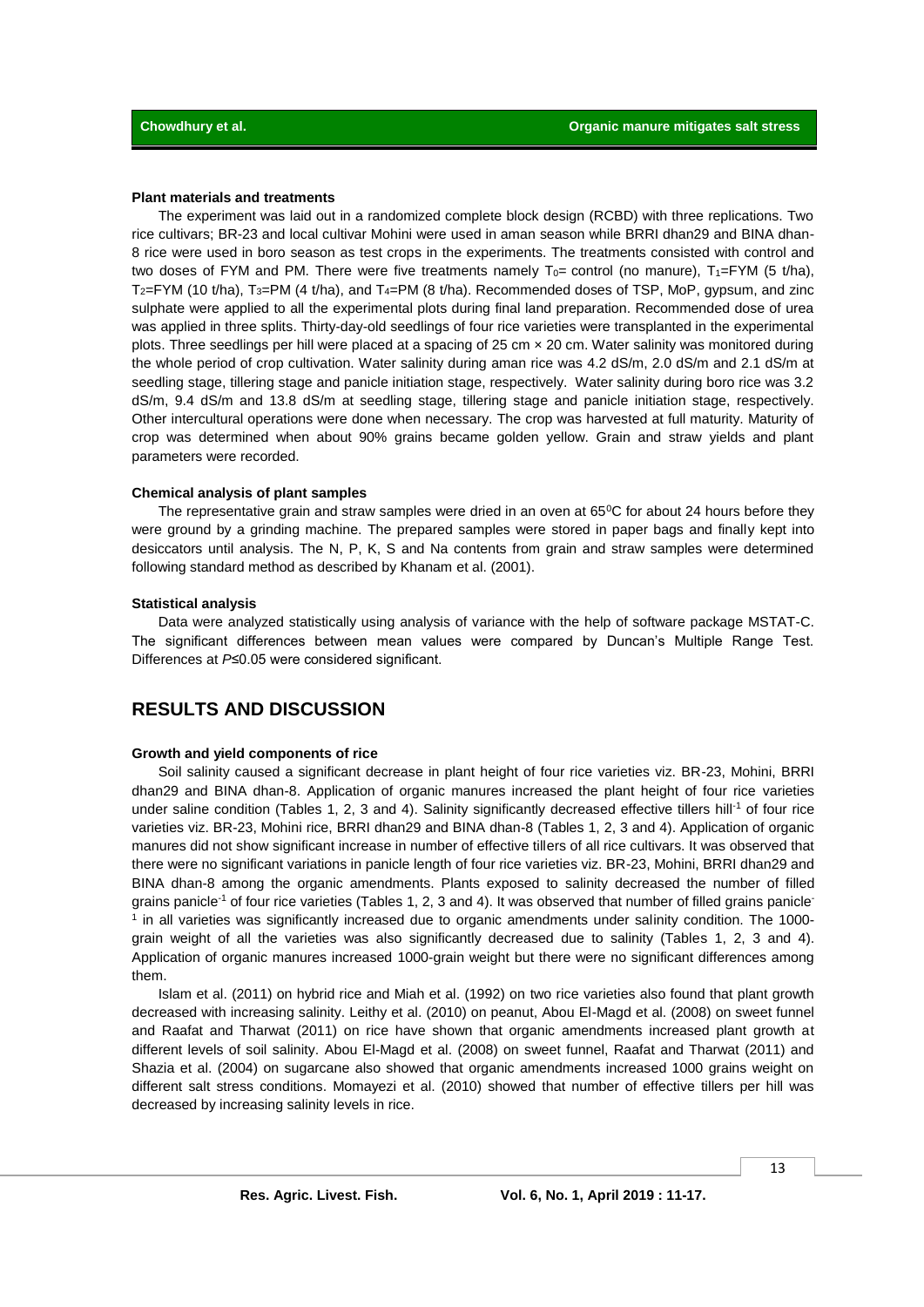### **Plant materials and treatments**

The experiment was laid out in a randomized complete block design (RCBD) with three replications. Two rice cultivars; BR-23 and local cultivar Mohini were used in aman season while BRRI dhan29 and BINA dhan-8 rice were used in boro season as test crops in the experiments. The treatments consisted with control and two doses of FYM and PM. There were five treatments namely  $T_0$ = control (no manure),  $T_1$ =FYM (5 t/ha),  $T_2$ =FYM (10 t/ha), T<sub>3</sub>=PM (4 t/ha), and T<sub>4</sub>=PM (8 t/ha). Recommended doses of TSP, MoP, gypsum, and zinc sulphate were applied to all the experimental plots during final land preparation. Recommended dose of urea was applied in three splits. Thirty-day-old seedlings of four rice varieties were transplanted in the experimental plots. Three seedlings per hill were placed at a spacing of 25 cm × 20 cm. Water salinity was monitored during the whole period of crop cultivation. Water salinity during aman rice was 4.2 dS/m, 2.0 dS/m and 2.1 dS/m at seedling stage, tillering stage and panicle initiation stage, respectively. Water salinity during boro rice was 3.2 dS/m, 9.4 dS/m and 13.8 dS/m at seedling stage, tillering stage and panicle initiation stage, respectively. Other intercultural operations were done when necessary. The crop was harvested at full maturity. Maturity of crop was determined when about 90% grains became golden yellow. Grain and straw yields and plant parameters were recorded.

### **Chemical analysis of plant samples**

The representative grain and straw samples were dried in an oven at 65<sup>o</sup>C for about 24 hours before they were ground by a grinding machine. The prepared samples were stored in paper bags and finally kept into desiccators until analysis. The N, P, K, S and Na contents from grain and straw samples were determined following standard method as described by Khanam et al. (2001).

### **Statistical analysis**

Data were analyzed statistically using analysis of variance with the help of software package MSTAT-C. The significant differences between mean values were compared by Duncan's Multiple Range Test. Differences at *P*≤0.05 were considered significant.

# **RESULTS AND DISCUSSION**

### **Growth and yield components of rice**

Soil salinity caused a significant decrease in plant height of four rice varieties viz. BR-23, Mohini, BRRI dhan29 and BINA dhan-8. Application of organic manures increased the plant height of four rice varieties under saline condition (Tables 1, 2, 3 and 4). Salinity significantly decreased effective tillers hill<sup>-1</sup> of four rice varieties viz. BR-23, Mohini rice, BRRI dhan29 and BINA dhan-8 (Tables 1, 2, 3 and 4). Application of organic manures did not show significant increase in number of effective tillers of all rice cultivars. It was observed that there were no significant variations in panicle length of four rice varieties viz. BR-23, Mohini, BRRI dhan29 and BINA dhan-8 among the organic amendments. Plants exposed to salinity decreased the number of filled grains panicle<sup>-1</sup> of four rice varieties (Tables 1, 2, 3 and 4). It was observed that number of filled grains panicle<sup>-</sup> <sup>1</sup> in all varieties was significantly increased due to organic amendments under salinity condition. The 1000grain weight of all the varieties was also significantly decreased due to salinity (Tables 1, 2, 3 and 4). Application of organic manures increased 1000-grain weight but there were no significant differences among them.

Islam et al. (2011) on hybrid rice and Miah et al. (1992) on two rice varieties also found that plant growth decreased with increasing salinity. Leithy et al. (2010) on peanut, Abou El-Magd et al. (2008) on sweet funnel and Raafat and Tharwat (2011) on rice have shown that organic amendments increased plant growth at different levels of soil salinity. Abou El-Magd et al. (2008) on sweet funnel, Raafat and Tharwat (2011) and Shazia et al. (2004) on sugarcane also showed that organic amendments increased 1000 grains weight on different salt stress conditions. Momayezi et al. (2010) showed that number of effective tillers per hill was decreased by increasing salinity levels in rice.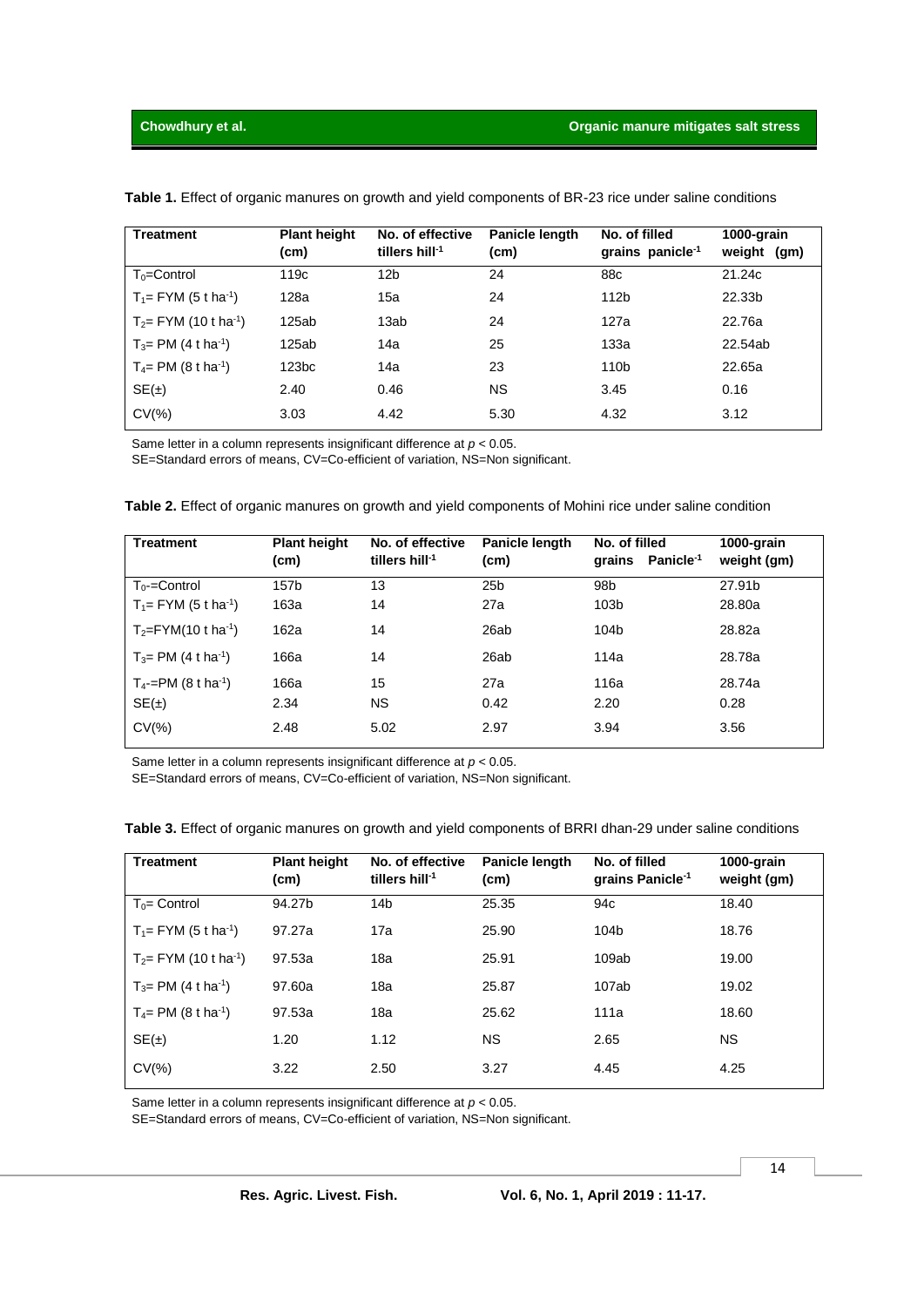| <b>Treatment</b>                     | <b>Plant height</b><br>(cm) | No. of effective<br>tillers hill $-1$ | Panicle length<br>(cm) | No. of filled<br>grains panicle <sup>-1</sup> | 1000-grain<br>weight (gm) |
|--------------------------------------|-----------------------------|---------------------------------------|------------------------|-----------------------------------------------|---------------------------|
| $To = Control$                       | 119 <sub>c</sub>            | 12 <sub>b</sub>                       | 24                     | 88 <sub>c</sub>                               | 21.24c                    |
| $T_1 = FYM (5 t ha^{-1})$            | 128a                        | 15a                                   | 24                     | 112 <sub>b</sub>                              | 22.33b                    |
| $T_2$ = FYM (10 t ha <sup>-1</sup> ) | 125ab                       | 13ab                                  | 24                     | 127a                                          | 22.76a                    |
| $T_3$ = PM (4 t ha <sup>-1</sup> )   | 125ab                       | 14a                                   | 25                     | 133a                                          | 22.54ab                   |
| $T_4$ = PM (8 t ha <sup>-1</sup> )   | 123 <sub>bc</sub>           | 14a                                   | 23                     | 110 <sub>b</sub>                              | 22.65a                    |
| SE(±)                                | 2.40                        | 0.46                                  | <b>NS</b>              | 3.45                                          | 0.16                      |
| $CV(\% )$                            | 3.03                        | 4.42                                  | 5.30                   | 4.32                                          | 3.12                      |

**Table 1.** Effect of organic manures on growth and yield components of BR-23 rice under saline conditions

Same letter in a column represents insignificant difference at *p* < 0.05.

SE=Standard errors of means, CV=Co-efficient of variation, NS=Non significant.

| <b>Treatment</b>                   | <b>Plant height</b><br>(cm) | No. of effective<br>tillers hill $1$ | Panicle length<br>(cm) | No. of filled<br>Panicle <sup>-1</sup><br>grains | 1000-grain<br>weight (gm) |
|------------------------------------|-----------------------------|--------------------------------------|------------------------|--------------------------------------------------|---------------------------|
| $T_0$ - $=$ Control                | 157b                        | 13                                   | 25 <sub>b</sub>        | 98 <sub>b</sub>                                  | 27.91b                    |
| $T_1 = FYM (5 t ha^{-1})$          | 163a                        | 14                                   | 27a                    | 103 <sub>b</sub>                                 | 28.80a                    |
| $T_2 = FYM(10 \t{ h}a^{-1})$       | 162a                        | 14                                   | 26ab                   | 104 <sub>b</sub>                                 | 28.82a                    |
| $T_3$ = PM (4 t ha <sup>-1</sup> ) | 166a                        | 14                                   | 26ab                   | 114a                                             | 28.78a                    |
| $T_4$ -=PM (8 t ha <sup>-1</sup> ) | 166a                        | 15                                   | 27a                    | 116a                                             | 28.74a                    |
| SE(±)                              | 2.34                        | NS.                                  | 0.42                   | 2.20                                             | 0.28                      |
| $CV(\% )$                          | 2.48                        | 5.02                                 | 2.97                   | 3.94                                             | 3.56                      |

**Table 2.** Effect of organic manures on growth and yield components of Mohini rice under saline condition

Same letter in a column represents insignificant difference at *p* < 0.05.

SE=Standard errors of means, CV=Co-efficient of variation, NS=Non significant.

| <b>Treatment</b>          | <b>Plant height</b><br>(cm) | No. of effective<br>tillers hill $1$ | Panicle length<br>(cm) | No. of filled<br>grains Panicle <sup>-1</sup> | 1000-grain<br>weight (gm) |
|---------------------------|-----------------------------|--------------------------------------|------------------------|-----------------------------------------------|---------------------------|
| $T_0 =$ Control           | 94.27b                      | 14 <sub>b</sub>                      | 25.35                  | 94c                                           | 18.40                     |
| $T_1 = FYM (5 t ha^{-1})$ | 97.27a                      | 17a                                  | 25.90                  | 104b                                          | 18.76                     |
| $T_2 = FYM (10 t ha-1)$   | 97.53a                      | 18a                                  | 25.91                  | 109ab                                         | 19.00                     |
| $T_3 = PM (4 t ha^{-1})$  | 97.60a                      | 18a                                  | 25.87                  | 107ab                                         | 19.02                     |
| $T_4 = PM (8 t ha^{-1})$  | 97.53a                      | 18a                                  | 25.62                  | 111a                                          | 18.60                     |
| SE(±)                     | 1.20                        | 1.12                                 | <b>NS</b>              | 2.65                                          | <b>NS</b>                 |
| $CV(\% )$                 | 3.22                        | 2.50                                 | 3.27                   | 4.45                                          | 4.25                      |

**Table 3.** Effect of organic manures on growth and yield components of BRRI dhan-29 under saline conditions

Same letter in a column represents insignificant difference at *p* < 0.05.

SE=Standard errors of means, CV=Co-efficient of variation, NS=Non significant.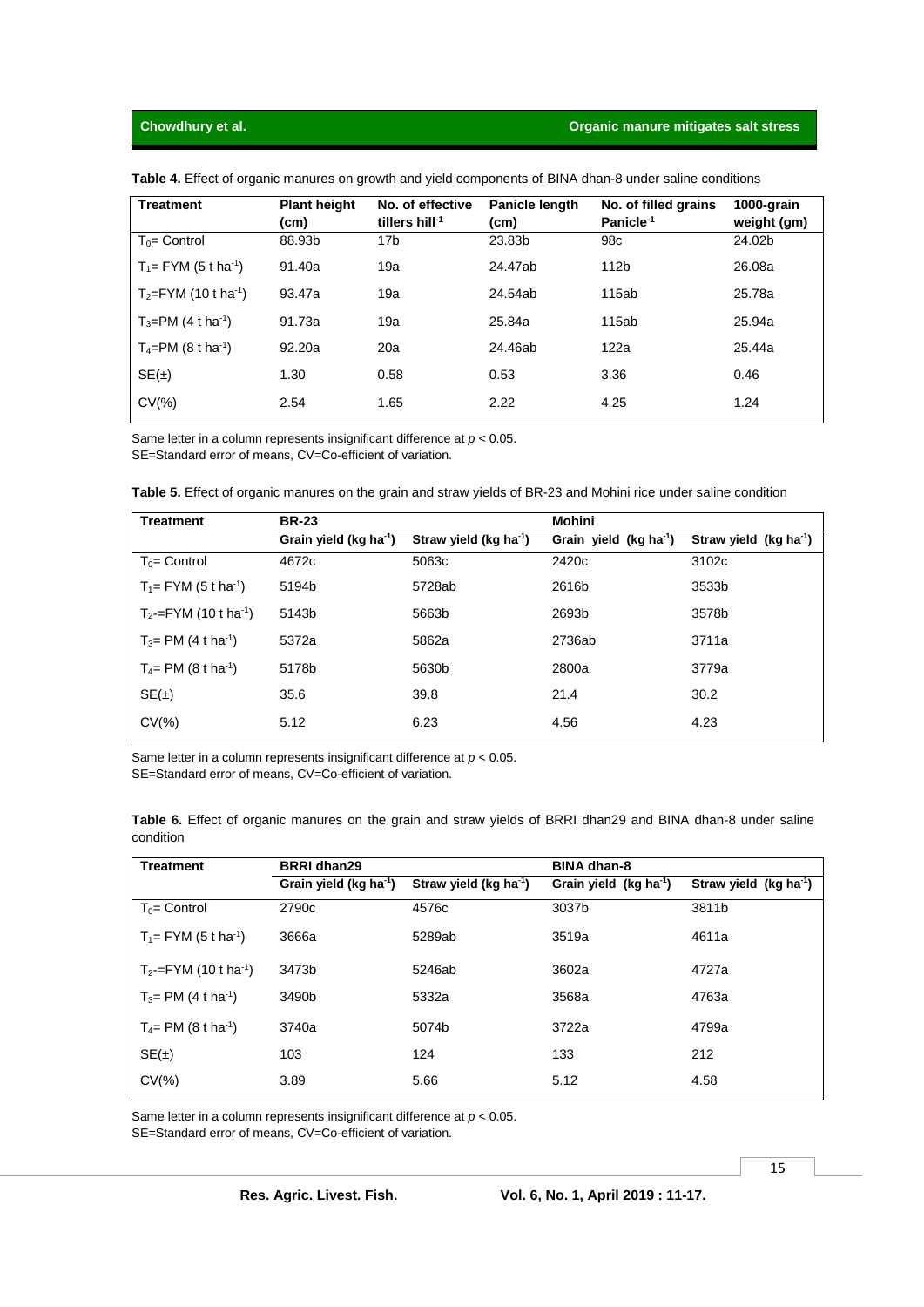### **Chowdhury et al. Chowdhury et al. Organic manure mitigates salt stress**

| <b>Treatment</b>           | <b>Plant height</b><br>(cm) | No. of effective<br>tillers hill $1$ | Panicle length<br>(cm) | No. of filled grains<br>Panicle <sup>-1</sup> | 1000-grain<br>weight (gm) |
|----------------------------|-----------------------------|--------------------------------------|------------------------|-----------------------------------------------|---------------------------|
| $T_0$ = Control            | 88.93b                      | 17 <sub>b</sub>                      | 23.83b                 | 98 <sub>c</sub>                               | 24.02b                    |
| $T_1 = FYM (5 t ha^{-1})$  | 91.40a                      | 19a                                  | 24.47ab                | 112 <sub>b</sub>                              | 26.08a                    |
| $T_2 = FYM (10 t ha^{-1})$ | 93.47a                      | 19a                                  | 24.54ab                | 115ab                                         | 25.78a                    |
| $T_3 = PM (4 t ha^{-1})$   | 91.73a                      | 19a                                  | 25.84a                 | 115ab                                         | 25.94a                    |
| $T_4 = PM (8 t ha^{-1})$   | 92.20a                      | 20a                                  | 24.46ab                | 122a                                          | 25.44a                    |
| SE(±)                      | 1.30                        | 0.58                                 | 0.53                   | 3.36                                          | 0.46                      |
| $CV(\% )$                  | 2.54                        | 1.65                                 | 2.22                   | 4.25                                          | 1.24                      |

**Table 4.** Effect of organic manures on growth and yield components of BINA dhan-8 under saline conditions

Same letter in a column represents insignificant difference at *p* < 0.05. SE=Standard error of means, CV=Co-efficient of variation.

| Table 5. Effect of organic manures on the grain and straw yields of BR-23 and Mohini rice under saline condition |  |  |
|------------------------------------------------------------------------------------------------------------------|--|--|
|                                                                                                                  |  |  |

| <b>Treatment</b>                    | <b>BR-23</b>                       |                                    | Mohini                  |                            |  |
|-------------------------------------|------------------------------------|------------------------------------|-------------------------|----------------------------|--|
|                                     | Grain yield (kg ha <sup>-1</sup> ) | Straw yield (kg ha <sup>-1</sup> ) | Grain yield $(kg ha-1)$ | Straw yield $(kg ha^{-1})$ |  |
| $T_0$ = Control                     | 4672c                              | 5063c                              | 2420 <sub>c</sub>       | 3102c                      |  |
| $T_1 = FYM (5 t ha^{-1})$           | 5194b                              | 5728ab                             | 2616b                   | 3533b                      |  |
| $T_2$ =FYM (10 t ha <sup>-1</sup> ) | 5143b                              | 5663b                              | 2693b                   | 3578b                      |  |
| $T_3$ = PM (4 t ha <sup>-1</sup> )  | 5372a                              | 5862a                              | 2736ab                  | 3711a                      |  |
| $T_4$ = PM (8 t ha <sup>-1</sup> )  | 5178b                              | 5630b                              | 2800a                   | 3779a                      |  |
| SE(±)                               | 35.6                               | 39.8                               | 21.4                    | 30.2                       |  |
| $CV(\% )$                           | 5.12                               | 6.23                               | 4.56                    | 4.23                       |  |

Same letter in a column represents insignificant difference at *p* < 0.05. SE=Standard error of means, CV=Co-efficient of variation.

**Table 6.** Effect of organic manures on the grain and straw yields of BRRI dhan29 and BINA dhan-8 under saline condition

| <b>Treatment</b>                    | <b>BRRI</b> dhan29                 |                                    | <b>BINA dhan-8</b>      |                                    |  |
|-------------------------------------|------------------------------------|------------------------------------|-------------------------|------------------------------------|--|
|                                     | Grain yield (kg ha <sup>-1</sup> ) | Straw yield (kg ha <sup>-1</sup> ) | Grain yield $(kg ha-1)$ | Straw yield (kg ha <sup>-1</sup> ) |  |
| $T_0 =$ Control                     | 2790 <sub>c</sub>                  | 4576c                              | 3037b                   | 3811b                              |  |
| $T_1 = FYM (5 t ha^{-1})$           | 3666a                              | 5289ab                             | 3519a                   | 4611a                              |  |
| $T_2$ =FYM (10 t ha <sup>-1</sup> ) | 3473b                              | 5246ab                             | 3602a                   | 4727a                              |  |
| $T_3$ = PM (4 t ha <sup>-1</sup> )  | 3490b                              | 5332a                              | 3568a                   | 4763a                              |  |
| $T_4 = PM (8 t ha^{-1})$            | 3740a                              | 5074b                              | 3722a                   | 4799a                              |  |
| SE(±)                               | 103                                | 124                                | 133                     | 212                                |  |
| $CV(\% )$                           | 3.89                               | 5.66                               | 5.12                    | 4.58                               |  |

Same letter in a column represents insignificant difference at *p* < 0.05. SE=Standard error of means, CV=Co-efficient of variation.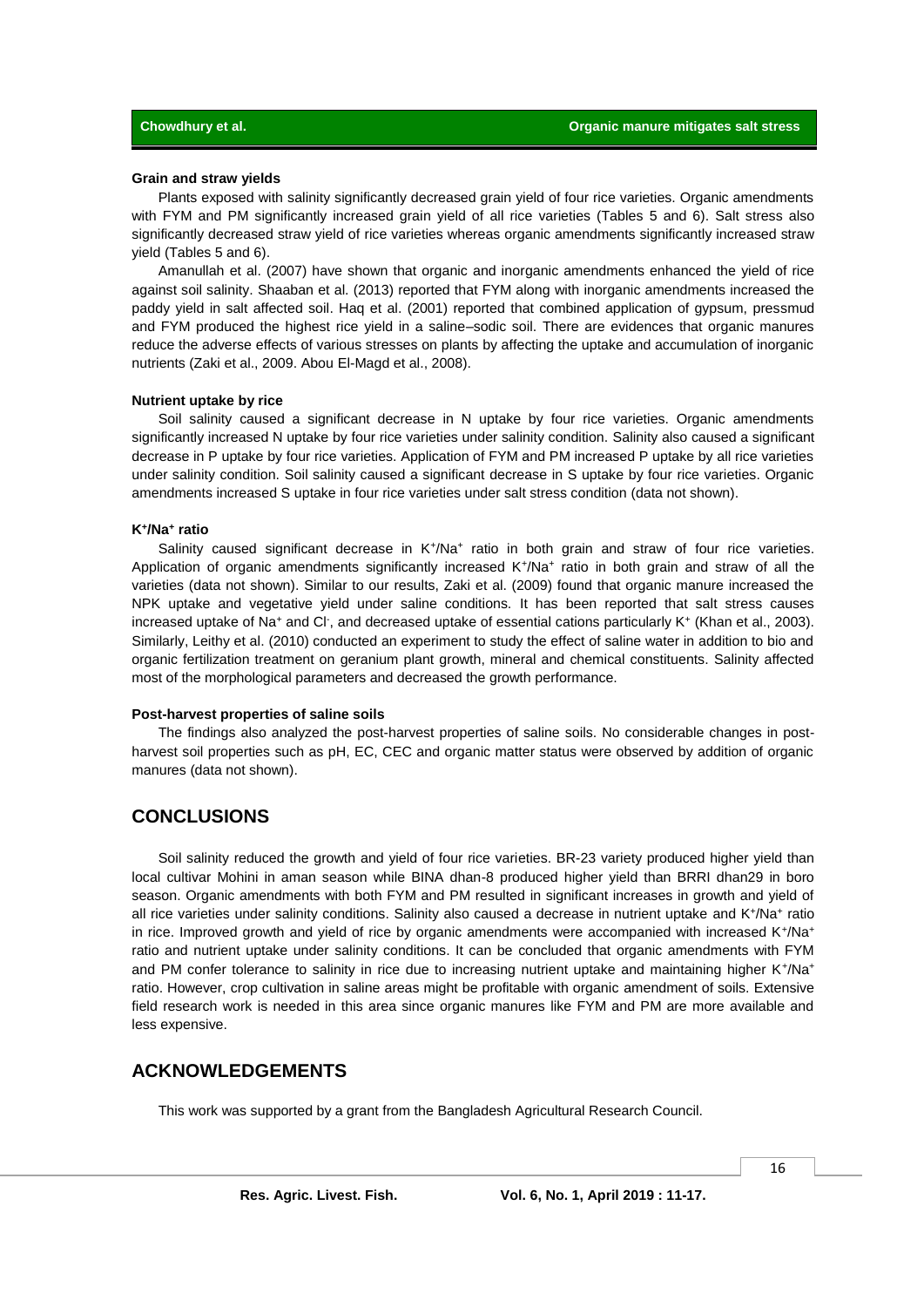### **Grain and straw yields**

Plants exposed with salinity significantly decreased grain yield of four rice varieties. Organic amendments with FYM and PM significantly increased grain yield of all rice varieties (Tables 5 and 6). Salt stress also significantly decreased straw yield of rice varieties whereas organic amendments significantly increased straw yield (Tables 5 and 6).

Amanullah et al. (2007) have shown that organic and inorganic amendments enhanced the yield of rice against soil salinity. Shaaban et al. (2013) reported that FYM along with inorganic amendments increased the paddy yield in salt affected soil. Haq et al. (2001) reported that combined application of gypsum, pressmud and FYM produced the highest rice yield in a saline–sodic soil. There are evidences that organic manures reduce the adverse effects of various stresses on plants by affecting the uptake and accumulation of inorganic nutrients (Zaki et al., 2009. Abou El-Magd et al., 2008).

### **Nutrient uptake by rice**

Soil salinity caused a significant decrease in N uptake by four rice varieties. Organic amendments significantly increased N uptake by four rice varieties under salinity condition. Salinity also caused a significant decrease in P uptake by four rice varieties. Application of FYM and PM increased P uptake by all rice varieties under salinity condition. Soil salinity caused a significant decrease in S uptake by four rice varieties. Organic amendments increased S uptake in four rice varieties under salt stress condition (data not shown).

### **K<sup>+</sup> /Na<sup>+</sup> ratio**

Salinity caused significant decrease in K<sup>+</sup>/Na<sup>+</sup> ratio in both grain and straw of four rice varieties. Application of organic amendments significantly increased K<sup>+</sup>/Na<sup>+</sup> ratio in both grain and straw of all the varieties (data not shown). Similar to our results, Zaki et al. (2009) found that organic manure increased the NPK uptake and vegetative yield under saline conditions. It has been reported that salt stress causes increased uptake of Na<sup>+</sup> and Cl<sup>-</sup>, and decreased uptake of essential cations particularly K<sup>+</sup> (Khan et al., 2003). Similarly, Leithy et al. (2010) conducted an experiment to study the effect of saline water in addition to bio and organic fertilization treatment on geranium plant growth, mineral and chemical constituents. Salinity affected most of the morphological parameters and decreased the growth performance.

### **Post-harvest properties of saline soils**

The findings also analyzed the post-harvest properties of saline soils. No considerable changes in postharvest soil properties such as pH, EC, CEC and organic matter status were observed by addition of organic manures (data not shown).

# **CONCLUSIONS**

Soil salinity reduced the growth and yield of four rice varieties. BR-23 variety produced higher yield than local cultivar Mohini in aman season while BINA dhan-8 produced higher yield than BRRI dhan29 in boro season. Organic amendments with both FYM and PM resulted in significant increases in growth and yield of all rice varieties under salinity conditions. Salinity also caused a decrease in nutrient uptake and K+/Na+ ratio in rice. Improved growth and yield of rice by organic amendments were accompanied with increased K+/Na+ ratio and nutrient uptake under salinity conditions. It can be concluded that organic amendments with FYM and PM confer tolerance to salinity in rice due to increasing nutrient uptake and maintaining higher K+/Na+ ratio. However, crop cultivation in saline areas might be profitable with organic amendment of soils. Extensive field research work is needed in this area since organic manures like FYM and PM are more available and less expensive.

# **ACKNOWLEDGEMENTS**

This work was supported by a grant from the Bangladesh Agricultural Research Council.